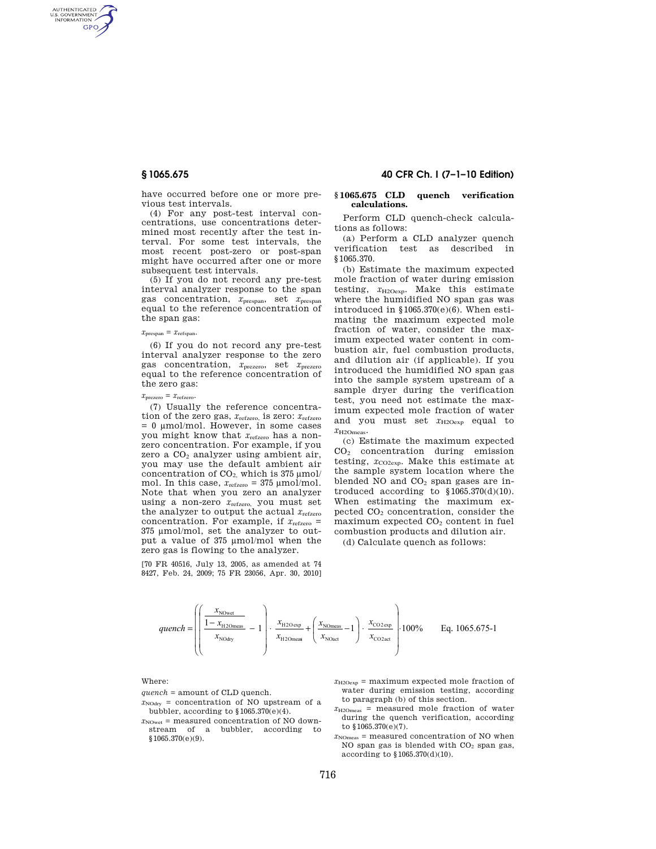AUTHENTICATED<br>U.S. GOVERNMENT<br>INFORMATION GPO

> have occurred before one or more previous test intervals.

> (4) For any post-test interval concentrations, use concentrations determined most recently after the test interval. For some test intervals, the most recent post-zero or post-span might have occurred after one or more subsequent test intervals.

> (5) If you do not record any pre-test interval analyzer response to the span gas concentration, *x*prespan, set *x*prespan equal to the reference concentration of the span gas:

#### $x_{\text{prespan}} = x_{\text{refspan}}$ .

(6) If you do not record any pre-test interval analyzer response to the zero gas concentration, *x*prezero, set *x*prezero equal to the reference concentration of the zero gas:

# $x_{\text{prezero}} = x_{\text{refzero}}$ .

(7) Usually the reference concentration of the zero gas, *x*refzero, is zero: *x*refzero = 0 μmol/mol. However, in some cases you might know that *x*refzero has a nonzero concentration. For example, if you zero a  $CO<sub>2</sub>$  analyzer using ambient air, you may use the default ambient air concentration of  $CO<sub>2</sub>$ , which is 375  $\mu$ mol/ mol. In this case,  $x_{\text{refzero}} = 375 \text{ }\mu\text{mol/mol}$ . Note that when you zero an analyzer using a non-zero *x*refzero, you must set the analyzer to output the actual *x*refzero concentration. For example, if  $x_{\text{refzero}} =$ 375 μmol/mol, set the analyzer to output a value of 375 μmol/mol when the zero gas is flowing to the analyzer.

[70 FR 40516, July 13, 2005, as amended at 74 8427, Feb. 24, 2009; 75 FR 23056, Apr. 30, 2010]

## **§ 1065.675 40 CFR Ch. I (7–1–10 Edition)**

#### **§ 1065.675 CLD quench verification calculations.**

Perform CLD quench-check calculations as follows:

(a) Perform a CLD analyzer quench verification test as described in §1065.370.

(b) Estimate the maximum expected mole fraction of water during emission testing,  $x_{\text{H2Oexp}}$ . Make this estimate where the humidified NO span gas was introduced in  $$1065.370(e)(6)$ . When estimating the maximum expected mole fraction of water, consider the maximum expected water content in combustion air, fuel combustion products, and dilution air (if applicable). If you introduced the humidified NO span gas into the sample system upstream of a sample dryer during the verification test, you need not estimate the maximum expected mole fraction of water and you must set  $x_{H2Oexp}$  equal to *x*H2Omeas.

(c) Estimate the maximum expected CO<sup>2</sup> concentration during emission testing,  $x_{\text{CO2exp}}$ . Make this estimate at the sample system location where the blended NO and  $CO<sub>2</sub>$  span gases are introduced according to  $$1065.370(d)(10)$ . When estimating the maximum expected CO<sup>2</sup> concentration, consider the  $maximum$  expected  $CO<sub>2</sub>$  content in fuel combustion products and dilution air.

(d) Calculate quench as follows:



#### Where:

- *quench* = amount of CLD quench.
- $x_{\text{NOdrv}}$  = concentration of NO upstream of a bubbler, according to §1065.370(e)(4).
- $x_{\text{Nowet}}$  = measured concentration of NO downstream of a bubbler, according to §1065.370(e)(9).
- $x_{\text{H2Oexp}}$  = maximum expected mole fraction of water during emission testing, according to paragraph (b) of this section.
- *x*H2Omeas = measured mole fraction of water during the quench verification, according to §1065.370(e)(7).
- $x_{\text{NOmega}}$  = measured concentration of NO when NO span gas is blended with CO<sup>2</sup> span gas, according to §1065.370(d)(10).